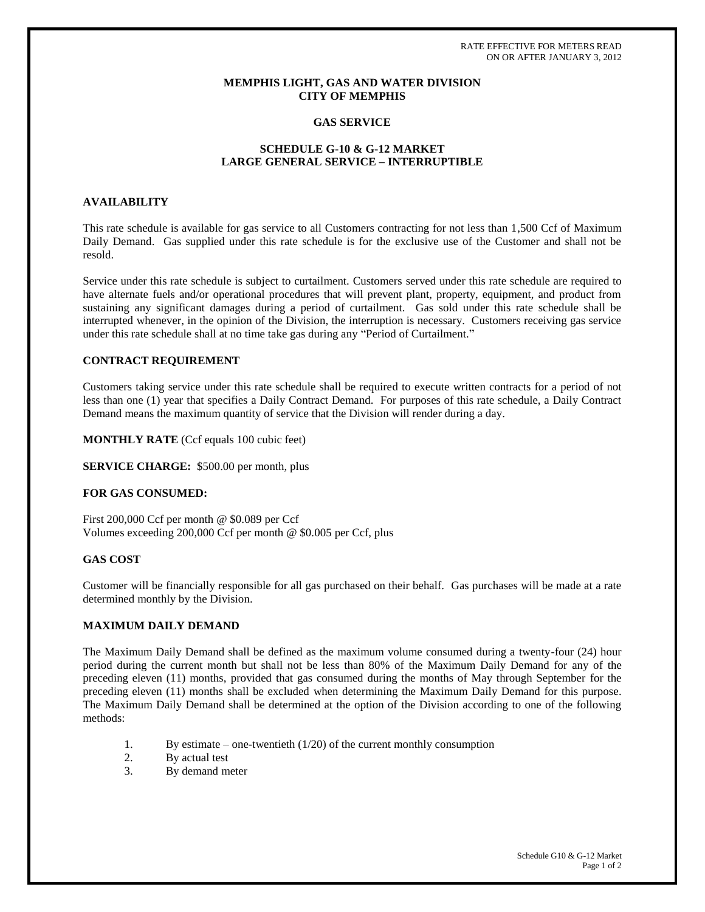RATE EFFECTIVE FOR METERS READ ON OR AFTER JANUARY 3, 2012

# **MEMPHIS LIGHT, GAS AND WATER DIVISION CITY OF MEMPHIS**

# **GAS SERVICE**

### **SCHEDULE G-10 & G-12 MARKET LARGE GENERAL SERVICE – INTERRUPTIBLE**

## **AVAILABILITY**

This rate schedule is available for gas service to all Customers contracting for not less than 1,500 Ccf of Maximum Daily Demand. Gas supplied under this rate schedule is for the exclusive use of the Customer and shall not be resold.

Service under this rate schedule is subject to curtailment. Customers served under this rate schedule are required to have alternate fuels and/or operational procedures that will prevent plant, property, equipment, and product from sustaining any significant damages during a period of curtailment. Gas sold under this rate schedule shall be interrupted whenever, in the opinion of the Division, the interruption is necessary. Customers receiving gas service under this rate schedule shall at no time take gas during any "Period of Curtailment."

## **CONTRACT REQUIREMENT**

Customers taking service under this rate schedule shall be required to execute written contracts for a period of not less than one (1) year that specifies a Daily Contract Demand. For purposes of this rate schedule, a Daily Contract Demand means the maximum quantity of service that the Division will render during a day.

#### **MONTHLY RATE** (Ccf equals 100 cubic feet)

**SERVICE CHARGE:** \$500.00 per month, plus

#### **FOR GAS CONSUMED:**

First 200,000 Ccf per month @ \$0.089 per Ccf Volumes exceeding 200,000 Ccf per month @ \$0.005 per Ccf, plus

#### **GAS COST**

Customer will be financially responsible for all gas purchased on their behalf. Gas purchases will be made at a rate determined monthly by the Division.

## **MAXIMUM DAILY DEMAND**

The Maximum Daily Demand shall be defined as the maximum volume consumed during a twenty-four (24) hour period during the current month but shall not be less than 80% of the Maximum Daily Demand for any of the preceding eleven (11) months, provided that gas consumed during the months of May through September for the preceding eleven (11) months shall be excluded when determining the Maximum Daily Demand for this purpose. The Maximum Daily Demand shall be determined at the option of the Division according to one of the following methods:

- 1. By estimate one-twentieth (1/20) of the current monthly consumption
- 2. By actual test
- 3. By demand meter